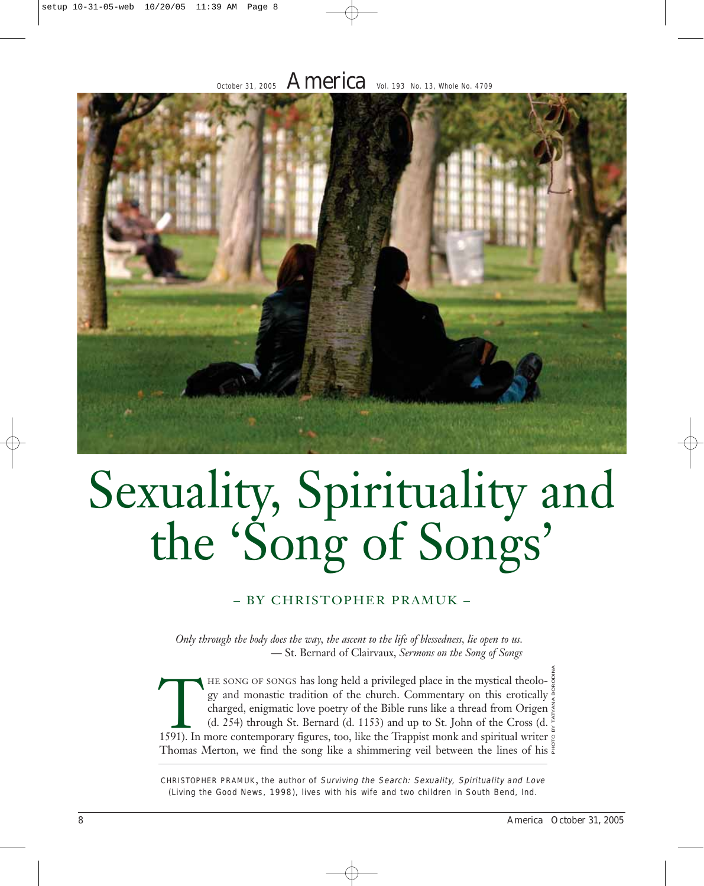# October 31, 2005  $\,$  America Vol. 193 No. 13, Whole No. 4709



# Sexuality, Spirituality and the 'Song of Songs'

#### – BY CHRISTOPHER PRAMUK –

*Only through the body does the way, the ascent to the life of blessedness, lie open to us.* — St. Bernard of Clairvaux, *Sermons on the Song of Songs*

HE SONG OF SONGS has long held a privileged place in the mystical theolo- $\frac{5}{9}$ gy and monastic tradition of the church. Commentary on this erotically charged, enigmatic love poetry of the Bible runs like a thread from Origen  $\frac{2}{5}$ (d. 254) through St. Bernard (d. 1153) and up to St. John of the Cross (d. gy and monastic tradition of the church. Commentary on this erotically charged, enigmatic love poetry of the Bible runs like a thread from Origen (d. 254) through St. Bernard (d. 1153) and up to St. John of the Cross (d. 1 Thomas Merton, we find the song like a shimmering veil between the lines of his  $\frac{a}{b}$ PHOTO BY TATYANA BORODINA

CHRISTOPHER PRAMUK, the author of Surviving the Search: Sexuality, Spirituality and Love (Living the Good News, 1998), lives with his wife and two children in South Bend, Ind.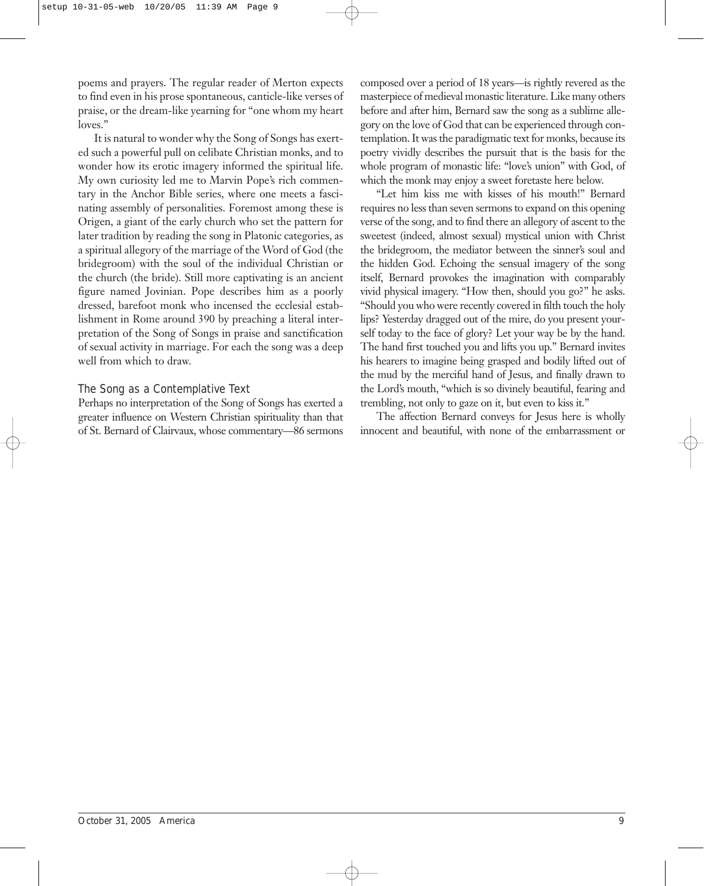poems and prayers. The regular reader of Merton expects to find even in his prose spontaneous, canticle-like verses of praise, or the dream-like yearning for "one whom my heart loves."

It is natural to wonder why the Song of Songs has exerted such a powerful pull on celibate Christian monks, and to wonder how its erotic imagery informed the spiritual life. My own curiosity led me to Marvin Pope's rich commentary in the Anchor Bible series, where one meets a fascinating assembly of personalities. Foremost among these is Origen, a giant of the early church who set the pattern for later tradition by reading the song in Platonic categories, as a spiritual allegory of the marriage of the Word of God (the bridegroom) with the soul of the individual Christian or the church (the bride). Still more captivating is an ancient figure named Jovinian. Pope describes him as a poorly dressed, barefoot monk who incensed the ecclesial establishment in Rome around 390 by preaching a literal interpretation of the Song of Songs in praise and sanctification of sexual activity in marriage. For each the song was a deep well from which to draw.

#### The Song as a Contemplative Text

Perhaps no interpretation of the Song of Songs has exerted a greater influence on Western Christian spirituality than that of St. Bernard of Clairvaux, whose commentary—86 sermons

composed over a period of 18 years—is rightly revered as the masterpiece of medieval monastic literature. Like many others before and after him, Bernard saw the song as a sublime allegory on the love of God that can be experienced through contemplation. It was the paradigmatic text for monks, because its poetry vividly describes the pursuit that is the basis for the whole program of monastic life: "love's union" with God, of which the monk may enjoy a sweet foretaste here below.

"Let him kiss me with kisses of his mouth!" Bernard requires no less than seven sermons to expand on this opening verse of the song, and to find there an allegory of ascent to the sweetest (indeed, almost sexual) mystical union with Christ the bridegroom, the mediator between the sinner's soul and the hidden God. Echoing the sensual imagery of the song itself, Bernard provokes the imagination with comparably vivid physical imagery. "How then, should you go?" he asks. "Should you who were recently covered in filth touch the holy lips? Yesterday dragged out of the mire, do you present yourself today to the face of glory? Let your way be by the hand. The hand first touched you and lifts you up." Bernard invites his hearers to imagine being grasped and bodily lifted out of the mud by the merciful hand of Jesus, and finally drawn to the Lord's mouth, "which is so divinely beautiful, fearing and trembling, not only to gaze on it, but even to kiss it."

The affection Bernard conveys for Jesus here is wholly innocent and beautiful, with none of the embarrassment or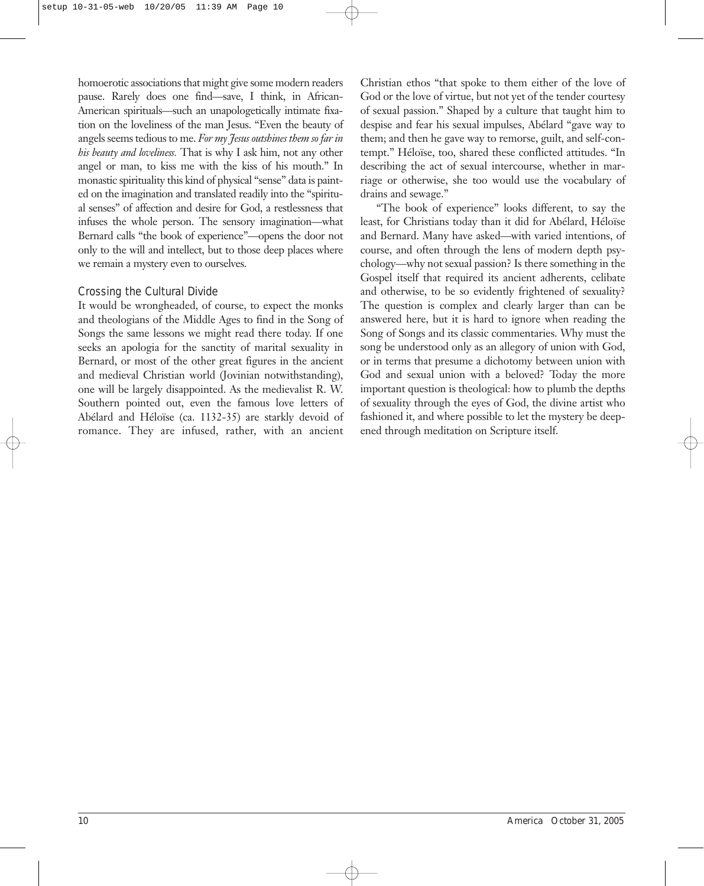homoerotic associations that might give some modern readers pause. Rarely does one find—save, I think, in African-American spirituals—such an unapologetically intimate fixation on the loveliness of the man Jesus. "Even the beauty of angels seems tedious to me. *For my Jesus outshines them so far in his beauty and loveliness.* That is why I ask him, not any other angel or man, to kiss me with the kiss of his mouth." In monastic spirituality this kind of physical "sense" data is painted on the imagination and translated readily into the "spiritual senses" of affection and desire for God, a restlessness that infuses the whole person. The sensory imagination—what Bernard calls "the book of experience"—opens the door not only to the will and intellect, but to those deep places where we remain a mystery even to ourselves.

## Crossing the Cultural Divide

It would be wrongheaded, of course, to expect the monks and theologians of the Middle Ages to find in the Song of Songs the same lessons we might read there today. If one seeks an apologia for the sanctity of marital sexuality in Bernard, or most of the other great figures in the ancient and medieval Christian world (Jovinian notwithstanding), one will be largely disappointed. As the medievalist R. W. Southern pointed out, even the famous love letters of Abélard and Héloïse (ca. 1132-35) are starkly devoid of romance. They are infused, rather, with an ancient

Christian ethos "that spoke to them either of the love of God or the love of virtue, but not yet of the tender courtesy of sexual passion." Shaped by a culture that taught him to despise and fear his sexual impulses, Abélard "gave way to them; and then he gave way to remorse, guilt, and self-contempt." Héloïse, too, shared these conflicted attitudes. "In describing the act of sexual intercourse, whether in marriage or otherwise, she too would use the vocabulary of drains and sewage."

"The book of experience" looks different, to say the least, for Christians today than it did for Abélard, Héloïse and Bernard. Many have asked—with varied intentions, of course, and often through the lens of modern depth psychology—why not sexual passion? Is there something in the Gospel itself that required its ancient adherents, celibate and otherwise, to be so evidently frightened of sexuality? The question is complex and clearly larger than can be answered here, but it is hard to ignore when reading the Song of Songs and its classic commentaries. Why must the song be understood only as an allegory of union with God, or in terms that presume a dichotomy between union with God and sexual union with a beloved? Today the more important question is theological: how to plumb the depths of sexuality through the eyes of God, the divine artist who fashioned it, and where possible to let the mystery be deepened through meditation on Scripture itself.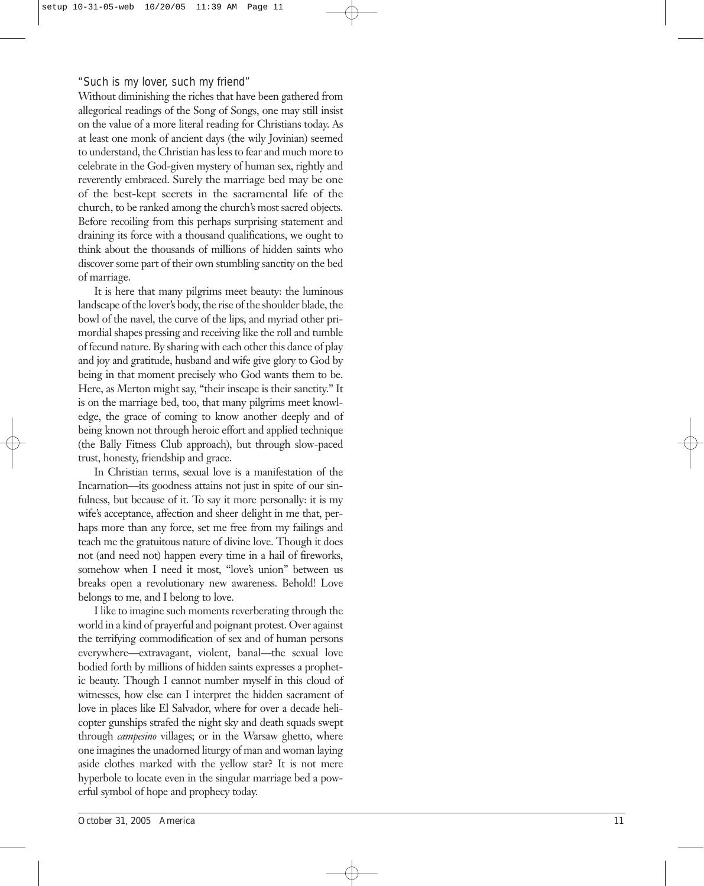#### "Such is my lover, such my friend"

Without diminishing the riches that have been gathered from allegorical readings of the Song of Songs, one may still insist on the value of a more literal reading for Christians today. As at least one monk of ancient days (the wily Jovinian) seemed to understand, the Christian has less to fear and much more to celebrate in the God-given mystery of human sex, rightly and reverently embraced. Surely the marriage bed may be one of the best-kept secrets in the sacramental life of the church, to be ranked among the church's most sacred objects. Before recoiling from this perhaps surprising statement and draining its force with a thousand qualifications, we ought to think about the thousands of millions of hidden saints who discover some part of their own stumbling sanctity on the bed of marriage.

It is here that many pilgrims meet beauty: the luminous landscape of the lover's body, the rise of the shoulder blade, the bowl of the navel, the curve of the lips, and myriad other primordial shapes pressing and receiving like the roll and tumble of fecund nature. By sharing with each other this dance of play and joy and gratitude, husband and wife give glory to God by being in that moment precisely who God wants them to be. Here, as Merton might say, "their inscape is their sanctity." It is on the marriage bed, too, that many pilgrims meet knowledge, the grace of coming to know another deeply and of being known not through heroic effort and applied technique (the Bally Fitness Club approach), but through slow-paced trust, honesty, friendship and grace.

In Christian terms, sexual love is a manifestation of the Incarnation—its goodness attains not just in spite of our sinfulness, but because of it. To say it more personally: it is my wife's acceptance, affection and sheer delight in me that, perhaps more than any force, set me free from my failings and teach me the gratuitous nature of divine love. Though it does not (and need not) happen every time in a hail of fireworks, somehow when I need it most, "love's union" between us breaks open a revolutionary new awareness. Behold! Love belongs to me, and I belong to love.

I like to imagine such moments reverberating through the world in a kind of prayerful and poignant protest. Over against the terrifying commodification of sex and of human persons everywhere—extravagant, violent, banal—the sexual love bodied forth by millions of hidden saints expresses a prophetic beauty. Though I cannot number myself in this cloud of witnesses, how else can I interpret the hidden sacrament of love in places like El Salvador, where for over a decade helicopter gunships strafed the night sky and death squads swept through *campesino* villages; or in the Warsaw ghetto, where one imagines the unadorned liturgy of man and woman laying aside clothes marked with the yellow star? It is not mere hyperbole to locate even in the singular marriage bed a powerful symbol of hope and prophecy today.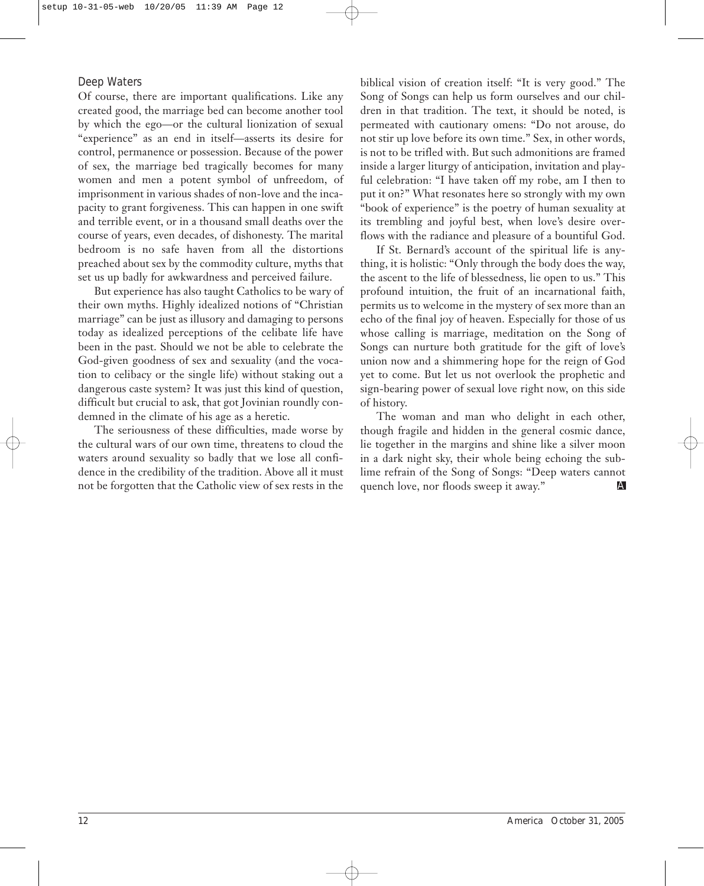## Deep Waters

Of course, there are important qualifications. Like any created good, the marriage bed can become another tool by which the ego—or the cultural lionization of sexual "experience" as an end in itself—asserts its desire for control, permanence or possession. Because of the power of sex, the marriage bed tragically becomes for many women and men a potent symbol of unfreedom, of imprisonment in various shades of non-love and the incapacity to grant forgiveness. This can happen in one swift and terrible event, or in a thousand small deaths over the course of years, even decades, of dishonesty. The marital bedroom is no safe haven from all the distortions preached about sex by the commodity culture, myths that set us up badly for awkwardness and perceived failure.

But experience has also taught Catholics to be wary of their own myths. Highly idealized notions of "Christian marriage" can be just as illusory and damaging to persons today as idealized perceptions of the celibate life have been in the past. Should we not be able to celebrate the God-given goodness of sex and sexuality (and the vocation to celibacy or the single life) without staking out a dangerous caste system? It was just this kind of question, difficult but crucial to ask, that got Jovinian roundly condemned in the climate of his age as a heretic.

The seriousness of these difficulties, made worse by the cultural wars of our own time, threatens to cloud the waters around sexuality so badly that we lose all confidence in the credibility of the tradition. Above all it must

biblical vision of creation itself: "It is very good." The Song of Songs can help us form ourselves and our children in that tradition. The text, it should be noted, is permeated with cautionary omens: "Do not arouse, do not stir up love before its own time." Sex, in other words, is not to be trifled with. But such admonitions are framed inside a larger liturgy of anticipation, invitation and playful celebration: "I have taken off my robe, am I then to put it on?" What resonates here so strongly with my own "book of experience" is the poetry of human sexuality at its trembling and joyful best, when love's desire overflows with the radiance and pleasure of a bountiful God.

If St. Bernard's account of the spiritual life is anything, it is holistic: "Only through the body does the way, the ascent to the life of blessedness, lie open to us." This profound intuition, the fruit of an incarnational faith, permits us to welcome in the mystery of sex more than an echo of the final joy of heaven. Especially for those of us whose calling is marriage, meditation on the Song of Songs can nurture both gratitude for the gift of love's union now and a shimmering hope for the reign of God yet to come. But let us not overlook the prophetic and sign-bearing power of sexual love right now, on this side of history.

The woman and man who delight in each other, though fragile and hidden in the general cosmic dance, lie together in the margins and shine like a silver moon in a dark night sky, their whole being echoing the sublime refrain of the Song of Songs: "Deep waters cannot quench love, nor floods sweep it away." not be forgotten that the Catholic view of sex rests in the quench love, nor floods sweep it away."